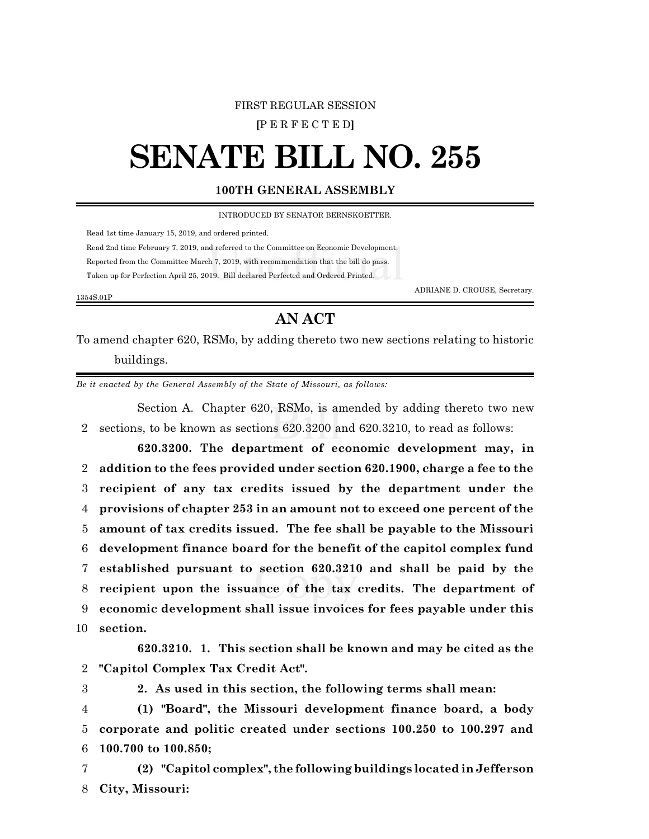## FIRST REGULAR SESSION

**[**P E R F E C T E D**]**

## **SENATE BILL NO. 255**

## **100TH GENERAL ASSEMBLY**

INTRODUCED BY SENATOR BERNSKOETTER.

Read 1st time January 15, 2019, and ordered printed.

Read 2nd time February 7, 2019, and referred to the Committee on Economic Development.

Reported from the Committee March 7, 2019, with recommendation that the bill do pass.

Taken up for Perfection April 25, 2019. Bill declared Perfected and Ordered Printed.

1354S.01P

ADRIANE D. CROUSE, Secretary.

## **AN ACT**

To amend chapter 620, RSMo, by adding thereto two new sections relating to historic buildings.

*Be it enacted by the General Assembly of the State of Missouri, as follows:*

Section A. Chapter 620, RSMo, is amended by adding thereto two new 2 sections, to be known as sections 620.3200 and 620.3210, to read as follows:

**620.3200. The department of economic development may, in addition to the fees provided under section 620.1900, charge a fee to the recipient of any tax credits issued by the department under the provisions of chapter 253 in an amount not to exceed one percent of the amount of tax credits issued. The fee shall be payable to the Missouri development finance board for the benefit of the capitol complex fund established pursuant to section 620.3210 and shall be paid by the recipient upon the issuance of the tax credits. The department of economic development shall issue invoices for fees payable under this** 10 **section.**

**620.3210. 1. This section shall be known and may be cited as the** 2 **"Capitol Complex Tax Credit Act".**

3 **2. As used in this section, the following terms shall mean:**

4 **(1) "Board", the Missouri development finance board, a body** 5 **corporate and politic created under sections 100.250 to 100.297 and** 6 **100.700 to 100.850;**

7 **(2) "Capitol complex", the following buildings locatedin Jefferson** 8 **City, Missouri:**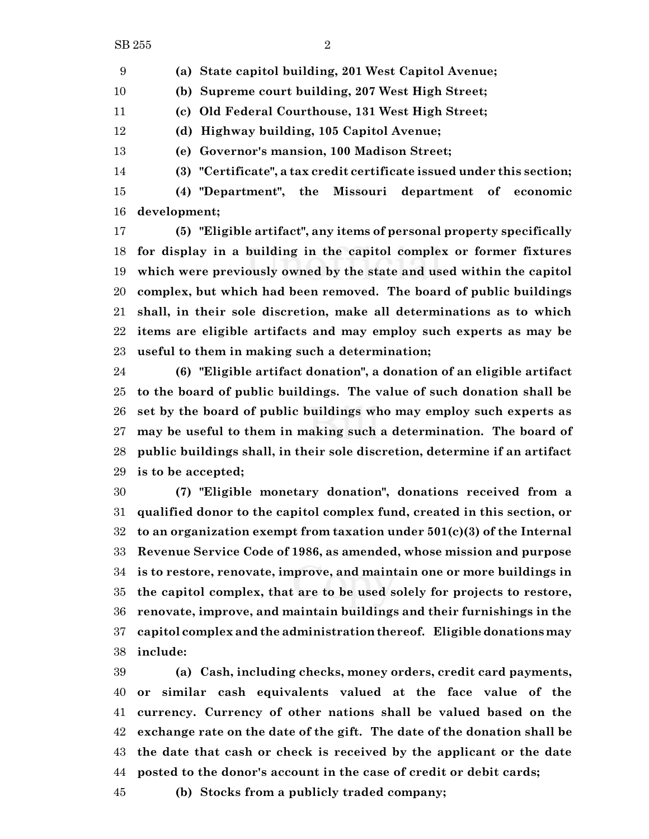**(a) State capitol building, 201 West Capitol Avenue;**

**(b) Supreme court building, 207 West High Street;**

**(c) Old Federal Courthouse, 131 West High Street;**

**(d) Highway building, 105 Capitol Avenue;**

**(e) Governor's mansion, 100 Madison Street;**

**(3) "Certificate", a tax credit certificate issued under this section;**

 **(4) "Department", the Missouri department of economic development;**

 **(5) "Eligible artifact", any items of personal property specifically for display in a building in the capitol complex or former fixtures which were previously owned by the state and used within the capitol complex, but which had been removed. The board of public buildings shall, in their sole discretion, make all determinations as to which items are eligible artifacts and may employ such experts as may be useful to them in making such a determination;**

 **(6) "Eligible artifact donation", a donation of an eligible artifact to the board of public buildings. The value of such donation shall be set by the board of public buildings who may employ such experts as may be useful to them in making such a determination. The board of public buildings shall, in their sole discretion, determine if an artifact is to be accepted;**

 **(7) "Eligible monetary donation", donations received from a qualified donor to the capitol complex fund, created in this section, or to an organization exempt from taxation under 501(c)(3) of the Internal Revenue Service Code of 1986, as amended, whose mission and purpose is to restore, renovate, improve, and maintain one or more buildings in the capitol complex, that are to be used solely for projects to restore, renovate, improve, and maintain buildings and their furnishings in the capitol complex and the administration thereof. Eligible donations may include:**

 **(a) Cash, including checks, money orders, credit card payments, or similar cash equivalents valued at the face value of the currency. Currency of other nations shall be valued based on the exchange rate on the date of the gift. The date of the donation shall be the date that cash or check is received by the applicant or the date posted to the donor's account in the case of credit or debit cards;**

**(b) Stocks from a publicly traded company;**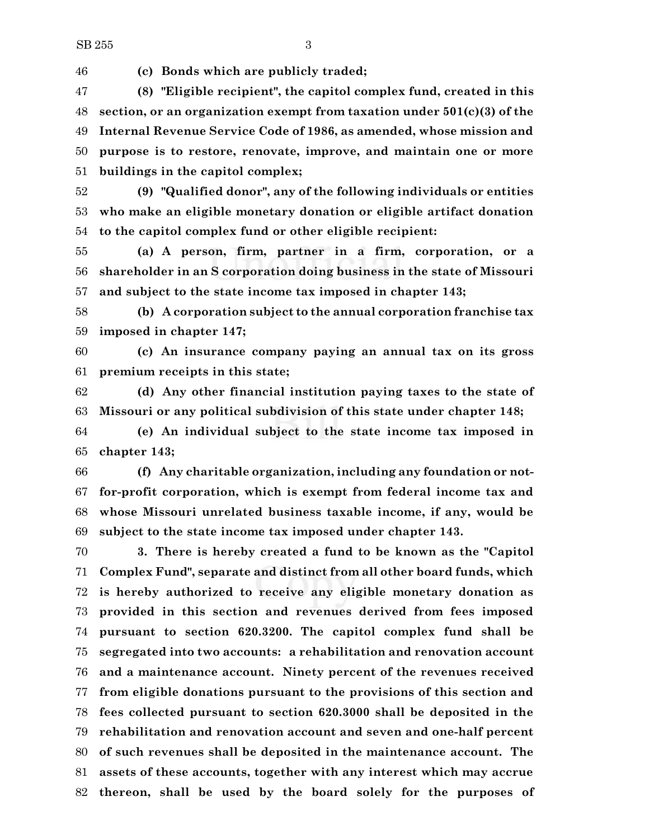**(c) Bonds which are publicly traded;**

 **(8) "Eligible recipient", the capitol complex fund, created in this section, or an organization exempt from taxation under 501(c)(3) of the Internal Revenue Service Code of 1986, as amended, whose mission and purpose is to restore, renovate, improve, and maintain one or more buildings in the capitol complex;**

 **(9) "Qualified donor", any of the following individuals or entities who make an eligible monetary donation or eligible artifact donation to the capitol complex fund or other eligible recipient:**

 **(a) A person, firm, partner in a firm, corporation, or a shareholder in an S corporation doing business in the state of Missouri and subject to the state income tax imposed in chapter 143;**

 **(b) A corporation subject to the annual corporation franchise tax imposed in chapter 147;**

 **(c) An insurance company paying an annual tax on its gross premium receipts in this state;**

 **(d) Any other financial institution paying taxes to the state of Missouri or any political subdivision of this state under chapter 148;**

 **(e) An individual subject to the state income tax imposed in chapter 143;**

 **(f) Any charitable organization, including any foundation or not- for-profit corporation, which is exempt from federal income tax and whose Missouri unrelated business taxable income, if any, would be subject to the state income tax imposed under chapter 143.**

 **3. There is hereby created a fund to be known as the "Capitol Complex Fund", separate and distinct from all other board funds, which is hereby authorized to receive any eligible monetary donation as provided in this section and revenues derived from fees imposed pursuant to section 620.3200. The capitol complex fund shall be segregated into two accounts: a rehabilitation and renovation account and a maintenance account. Ninety percent of the revenues received from eligible donations pursuant to the provisions of this section and fees collected pursuant to section 620.3000 shall be deposited in the rehabilitation and renovation account and seven and one-half percent of such revenues shall be deposited in the maintenance account. The assets of these accounts, together with any interest which may accrue thereon, shall be used by the board solely for the purposes of**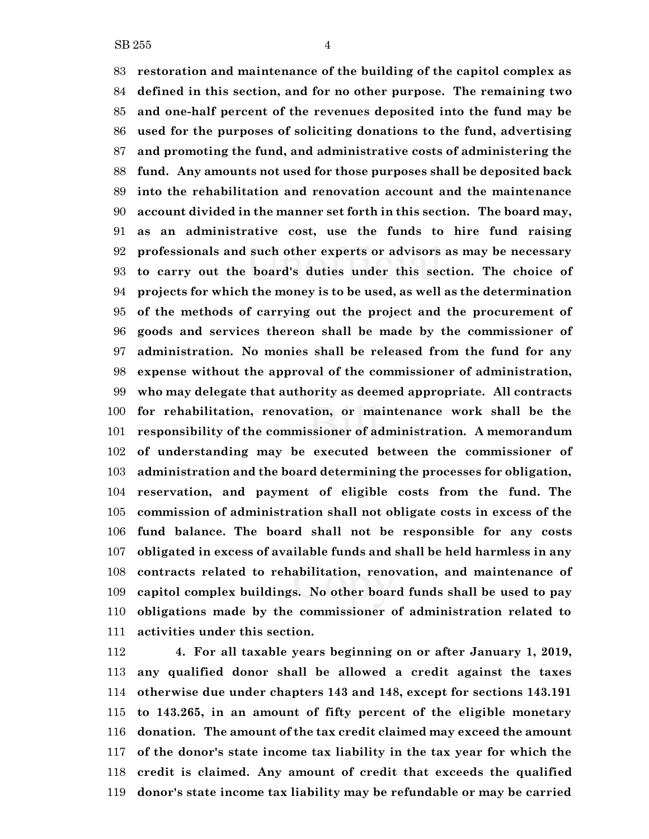**restoration and maintenance of the building of the capitol complex as defined in this section, and for no other purpose. The remaining two and one-half percent of the revenues deposited into the fund may be used for the purposes of soliciting donations to the fund, advertising and promoting the fund, and administrative costs of administering the fund. Any amounts not used for those purposes shall be deposited back into the rehabilitation and renovation account and the maintenance account divided in the manner set forth in this section. The board may, as an administrative cost, use the funds to hire fund raising professionals and such other experts or advisors as may be necessary to carry out the board's duties under this section. The choice of projects for which the money is to be used, as well as the determination of the methods of carrying out the project and the procurement of goods and services thereon shall be made by the commissioner of administration. No monies shall be released from the fund for any expense without the approval of the commissioner of administration, who may delegate that authority as deemed appropriate. All contracts for rehabilitation, renovation, or maintenance work shall be the responsibility of the commissioner of administration. A memorandum of understanding may be executed between the commissioner of administration and the board determining the processes for obligation, reservation, and payment of eligible costs from the fund. The commission of administration shall not obligate costs in excess of the fund balance. The board shall not be responsible for any costs obligated in excess of available funds and shall be held harmless in any contracts related to rehabilitation, renovation, and maintenance of capitol complex buildings. No other board funds shall be used to pay obligations made by the commissioner of administration related to activities under this section.**

 **4. For all taxable years beginning on or after January 1, 2019, any qualified donor shall be allowed a credit against the taxes otherwise due under chapters 143 and 148, except for sections 143.191 to 143.265, in an amount of fifty percent of the eligible monetary donation. The amount of the tax credit claimed may exceed the amount of the donor's state income tax liability in the tax year for which the credit is claimed. Any amount of credit that exceeds the qualified donor's state income tax liability may be refundable or may be carried**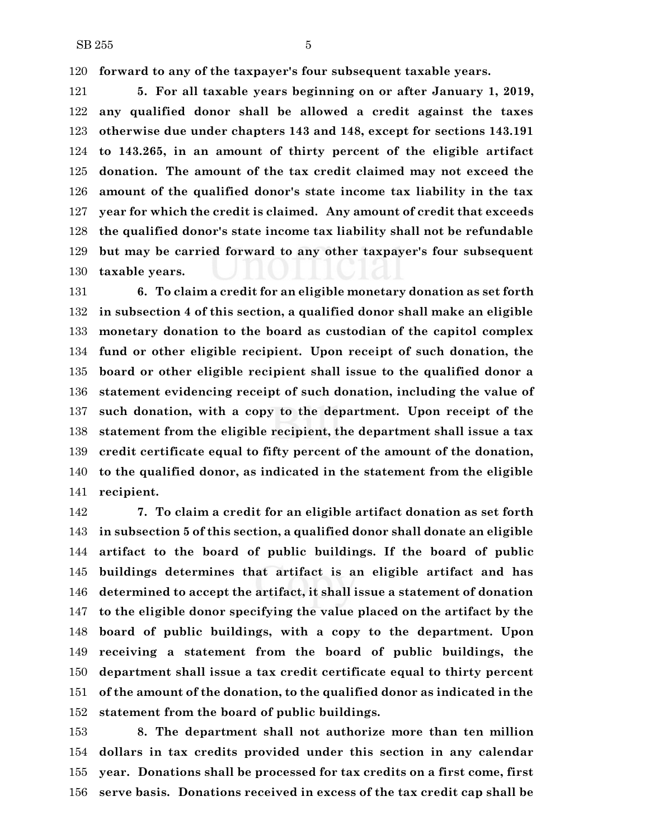**forward to any of the taxpayer's four subsequent taxable years.**

 **5. For all taxable years beginning on or after January 1, 2019, any qualified donor shall be allowed a credit against the taxes otherwise due under chapters 143 and 148, except for sections 143.191 to 143.265, in an amount of thirty percent of the eligible artifact donation. The amount of the tax credit claimed may not exceed the amount of the qualified donor's state income tax liability in the tax year for which the credit is claimed. Any amount of credit that exceeds the qualified donor's state income tax liability shall not be refundable but may be carried forward to any other taxpayer's four subsequent taxable years.**

 **6. To claim a credit for an eligible monetary donation as set forth in subsection 4 of this section, a qualified donor shall make an eligible monetary donation to the board as custodian of the capitol complex fund or other eligible recipient. Upon receipt of such donation, the board or other eligible recipient shall issue to the qualified donor a statement evidencing receipt of such donation, including the value of such donation, with a copy to the department. Upon receipt of the statement from the eligible recipient, the department shall issue a tax credit certificate equal to fifty percent of the amount of the donation, to the qualified donor, as indicated in the statement from the eligible recipient.**

 **7. To claim a credit for an eligible artifact donation as set forth in subsection 5 of this section, a qualified donor shall donate an eligible artifact to the board of public buildings. If the board of public buildings determines that artifact is an eligible artifact and has determined to accept the artifact, it shall issue a statement of donation to the eligible donor specifying the value placed on the artifact by the board of public buildings, with a copy to the department. Upon receiving a statement from the board of public buildings, the department shall issue a tax credit certificate equal to thirty percent of the amount of the donation, to the qualified donor as indicated in the statement from the board of public buildings.**

 **8. The department shall not authorize more than ten million dollars in tax credits provided under this section in any calendar year. Donations shall be processed for tax credits on a first come, first serve basis. Donations received in excess of the tax credit cap shall be**